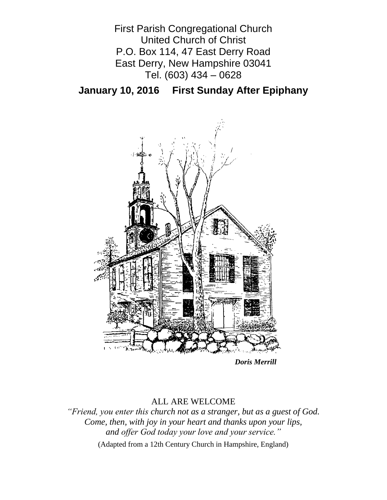First Parish Congregational Church United Church of Christ P.O. Box 114, 47 East Derry Road East Derry, New Hampshire 03041 Tel. (603) 434 – 0628

**January 10, 2016 First Sunday After Epiphany**



*Doris Merrill*

# ALL ARE WELCOME

*"Friend, you enter this church not as a stranger, but as a guest of God. Come, then, with joy in your heart and thanks upon your lips, and offer God today your love and your service."*

(Adapted from a 12th Century Church in Hampshire, England)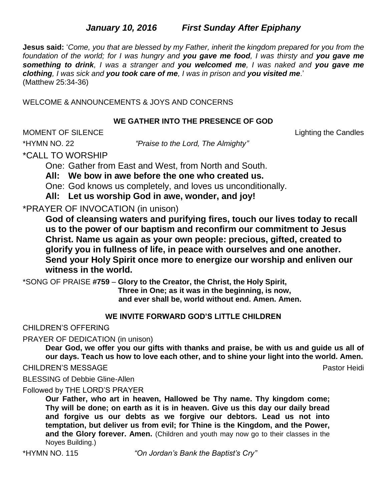# *January 10, 2016**First Sunday After Epiphany*

**Jesus said:** '*Come, you that are blessed by my Father, inherit the kingdom prepared for you from the foundation of the world; for I was hungry and you gave me food, I was thirsty and you gave me something to drink, I was a stranger and you welcomed me, I was naked and you gave me clothing, I was sick and you took care of me, I was in prison and you visited me*.' (Matthew 25:34-36)

WELCOME & ANNOUNCEMENTS & JOYS AND CONCERNS

#### **WE GATHER INTO THE PRESENCE OF GOD**

MOMENT OF SILENCE Lighting the Candles

\*HYMN NO. 22 *"Praise to the Lord, The Almighty"*

\*CALL TO WORSHIP

One: Gather from East and West, from North and South.

**All: We bow in awe before the one who created us.**

One: God knows us completely, and loves us unconditionally.

**All: Let us worship God in awe, wonder, and joy!**

# \*PRAYER OF INVOCATION (in unison)

**God of cleansing waters and purifying fires, touch our lives today to recall us to the power of our baptism and reconfirm our commitment to Jesus Christ. Name us again as your own people: precious, gifted, created to glorify you in fullness of life, in peace with ourselves and one another. Send your Holy Spirit once more to energize our worship and enliven our witness in the world.**

\*SONG OF PRAISE **#759** – **Glory to the Creator, the Christ, the Holy Spirit,**

 **Three in One; as it was in the beginning, is now, and ever shall be, world without end. Amen. Amen.**

## **WE INVITE FORWARD GOD'S LITTLE CHILDREN**

## CHILDREN'S OFFERING

#### PRAYER OF DEDICATION (in unison)

**Dear God, we offer you our gifts with thanks and praise, be with us and guide us all of our days. Teach us how to love each other, and to shine your light into the world. Amen.**

CHILDREN'S MESSAGE **Pastor Heidi** Pastor Heidi

BLESSING of Debbie Gline-Allen

## Followed by THE LORD'S PRAYER

**Our Father, who art in heaven, Hallowed be Thy name. Thy kingdom come; Thy will be done; on earth as it is in heaven. Give us this day our daily bread and forgive us our debts as we forgive our debtors. Lead us not into temptation, but deliver us from evil; for Thine is the Kingdom, and the Power, and the Glory forever. Amen.** (Children and youth may now go to their classes in the Noyes Building.)

\*HYMN NO. 115 *"On Jordan's Bank the Baptist's Cry"*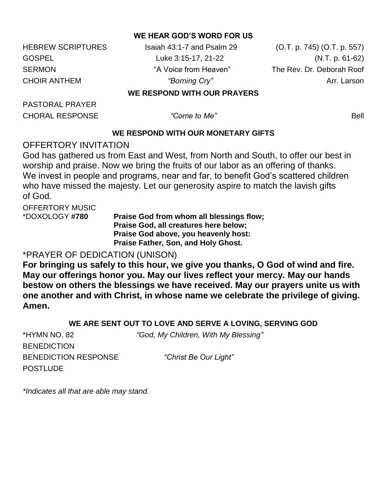### **WE HEAR GOD'S WORD FOR US**

HEBREW SCRIPTURES Isaiah 43:1-7 and Psalm 29 (O.T. p. 745) (O.T. p. 557) GOSPEL Luke 3:15-17, 21-22 (N.T. p. 61-62) SERMON **The Rev. Dr. Deborah Roof** "A Voice from Heaven" The Rev. Dr. Deborah Roof **CHOIR ANTHEM** *"Borning Cry"* Arr. Larson

### **WE RESPOND WITH OUR PRAYERS**

PASTORAL PRAYER CHORAL RESPONSE *"Come to Me"* Bell

## **WE RESPOND WITH OUR MONETARY GIFTS**

## OFFERTORY INVITATION

God has gathered us from East and West, from North and South, to offer our best in worship and praise. Now we bring the fruits of our labor as an offering of thanks. We invest in people and programs, near and far, to benefit God's scattered children who have missed the majesty. Let our generosity aspire to match the lavish gifts of God.

OFFERTORY MUSIC

\*DOXOLOGY **#780 Praise God from whom all blessings flow; Praise God, all creatures here below; Praise God above, you heavenly host: Praise Father, Son, and Holy Ghost.**

# \*PRAYER OF DEDICATION (UNISON)

**For bringing us safely to this hour, we give you thanks, O God of wind and fire. May our offerings honor you. May our lives reflect your mercy. May our hands bestow on others the blessings we have received. May our prayers unite us with one another and with Christ, in whose name we celebrate the privilege of giving. Amen.**

## **WE ARE SENT OUT TO LOVE AND SERVE A LOVING, SERVING GOD**

| *HYMN NO. 82                | "God, My Children, With My Blessing" |
|-----------------------------|--------------------------------------|
| <b>BENEDICTION</b>          |                                      |
| <b>BENEDICTION RESPONSE</b> | "Christ Be Our Light"                |
| <b>POSTLUDE</b>             |                                      |

*\*Indicates all that are able may stand.*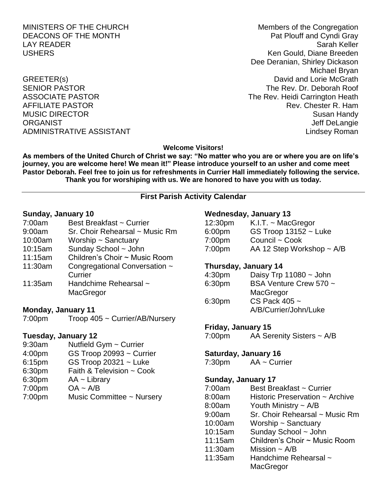MINISTERS OF THE CHURCH MEMORY CONSIDERING MEMORY MEMORY MEMORY MEMORY MEMORY MEMORY OF THE CHURCH DEACONS OF THE MONTH **Pat Plouff and Cyndi Gray** LAY READER Sarah Keller USHERS Ken Gould, Diane Breeden Dee Deranian, Shirley Dickason Michael Bryan GREETER(s) **David and Lorie McGrath** SENIOR PASTOR THE REV. Dr. Deborah Roof ASSOCIATE PASTOR **The Rev. Heidi Carrington Heath** AFFILIATE PASTOR **Rev. Chester R. Hammad AFFILIATE** PASTOR MUSIC DIRECTOR **Susan Handy** Susan Handy Susan Handy Susan Handy Susan Handy Susan Handy Susan Handy Susan Handy ORGANIST NEWSTAND ORGANIST CONSTRUCTED AND THE SERVICE OF STATE OF STATE OF STATE OF STATE OF STATE OF STATE O ADMINISTRATIVE ASSISTANT AND ALL THE LINDS OF A LINDS AND ALL THE LINDS AND ALL THE LINDS AND ALL THE LINDS OF A LINDS OF A LINDS OF A LINDS OF A LINDS OF A LINDS OF A LINDS OF A LINDS OF A LINDS OF A LINDS OF A LINDS OF A

#### **Welcome Visitors!**

**As members of the United Church of Christ we say: "No matter who you are or where you are on life's journey, you are welcome here! We mean it!" Please introduce yourself to an usher and come meet Pastor Deborah. Feel free to join us for refreshments in Currier Hall immediately following the service. Thank you for worshiping with us. We are honored to have you with us today.**

# **First Parish Activity Calendar**

#### **Sunday, January 10**

- 7:00am Best Breakfast ~ Currier 9:00am Sr. Choir Rehearsal ~ Music Rm 10:00am Worship ~ Sanctuary 10:15am Sunday School ~ John 11:15am Children's Choir ~ Music Room 11:30am Congregational Conversation ~ **Currier**
- 11:35am Handchime Rehearsal ~ **MacGregor**

#### **Monday, January 11**

7:00pm Troop 405 ~ Currier/AB/Nursery

#### **Tuesday, January 12**

- 9:30am Nutfield Gym ~ Currier
- 4:00pm GS Troop 20993 ~ Currier
- 6:15pm GS Troop 20321 ~ Luke
- 6:30pm Faith & Television ~ Cook
- 6:30pm AA ~ Library
- 7:00pm OA ~ A/B
- 7:00pm Music Committee ~ Nursery

#### **Wednesday, January 13**

| 12:30 <sub>pm</sub> | $K.I.T. \sim MacGregor$        |
|---------------------|--------------------------------|
| 6:00 <sub>pm</sub>  | GS Troop $13152 -$ Luke        |
| 7:00 <sub>pm</sub>  | Council ~ Cook                 |
| 7:00 <sub>pm</sub>  | AA 12 Step Workshop $\sim$ A/B |

#### **Thursday, January 14**

| 4:30 <sub>pm</sub> | Daisy Trp $11080 \sim$ John |
|--------------------|-----------------------------|
| 6:30pm             | BSA Venture Crew 570 ~      |
|                    | MacGregor                   |
| 6:30 <sub>pm</sub> | CS Pack 405 ~               |
|                    | A/B/Currier/John/Luke       |
|                    |                             |

#### **Friday, January 15**

7:00pm AA Serenity Sisters ~ A/B

#### **Saturday, January 16**

7:30pm AA ~ Currier

#### **Sunday, January 17**

| 7:00am  | Best Breakfast ~ Currier        |
|---------|---------------------------------|
| 8:00am  | Historic Preservation ~ Archive |
| 8:00am  | Youth Ministry $\sim$ A/B       |
| 9:00am  | Sr. Choir Rehearsal ~ Music Rm  |
| 10:00am | Worship ~ Sanctuary             |
| 10:15am | Sunday School ~ John            |
| 11:15am | Children's Choir ~ Music Room   |
| 11:30am | Mission $\sim$ A/B              |
| 11:35am | Handchime Rehearsal ~           |
|         | MacGregor                       |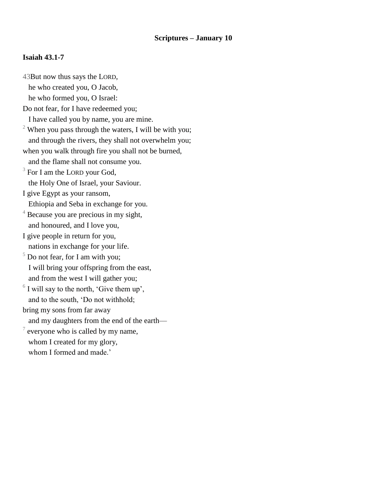## **Isaiah 43.1-7**

43But now thus says the LORD,

he who created you, O Jacob,

he who formed you, O Israel:

Do not fear, for I have redeemed you;

I have called you by name, you are mine.

 $2$  When you pass through the waters, I will be with you; and through the rivers, they shall not overwhelm you;

when you walk through fire you shall not be burned,

and the flame shall not consume you.

 $3$  For I am the LORD your God, the Holy One of Israel, your Saviour.

I give Egypt as your ransom,

Ethiopia and Seba in exchange for you.

- $4$  Because you are precious in my sight, and honoured, and I love you,
- I give people in return for you, nations in exchange for your life.
- $5$  Do not fear, for I am with you; I will bring your offspring from the east, and from the west I will gather you;
- $6$  I will say to the north, 'Give them up', and to the south, 'Do not withhold;

bring my sons from far away

and my daughters from the end of the earth—

 $\sigma$  everyone who is called by my name, whom I created for my glory,

whom I formed and made.'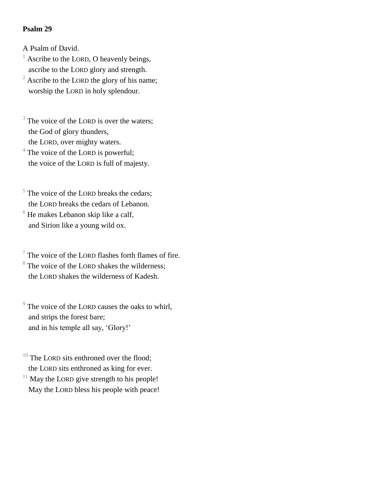### **Psalm 29**

A Psalm of David.

- $<sup>1</sup>$  Ascribe to the LORD, O heavenly beings,</sup> ascribe to the LORD glory and strength.
- $2^2$  Ascribe to the LORD the glory of his name; worship the LORD in holy splendour.
- $3$  The voice of the LORD is over the waters; the God of glory thunders, the LORD, over mighty waters.
- $4$  The voice of the LORD is powerful; the voice of the LORD is full of majesty.

 $5$  The voice of the LORD breaks the cedars; the LORD breaks the cedars of Lebanon.

 $6$  He makes Lebanon skip like a calf, and Sirion like a young wild ox.

 $\frac{7}{7}$  The voice of the LORD flashes forth flames of fire. <sup>8</sup> The voice of the LORD shakes the wilderness; the LORD shakes the wilderness of Kadesh.

9 The voice of the LORD causes the oaks to whirl, and strips the forest bare; and in his temple all say, 'Glory!'

 $10$  The LORD sits enthroned over the flood; the LORD sits enthroned as king for ever.

 $11$  May the LORD give strength to his people! May the LORD bless his people with peace!